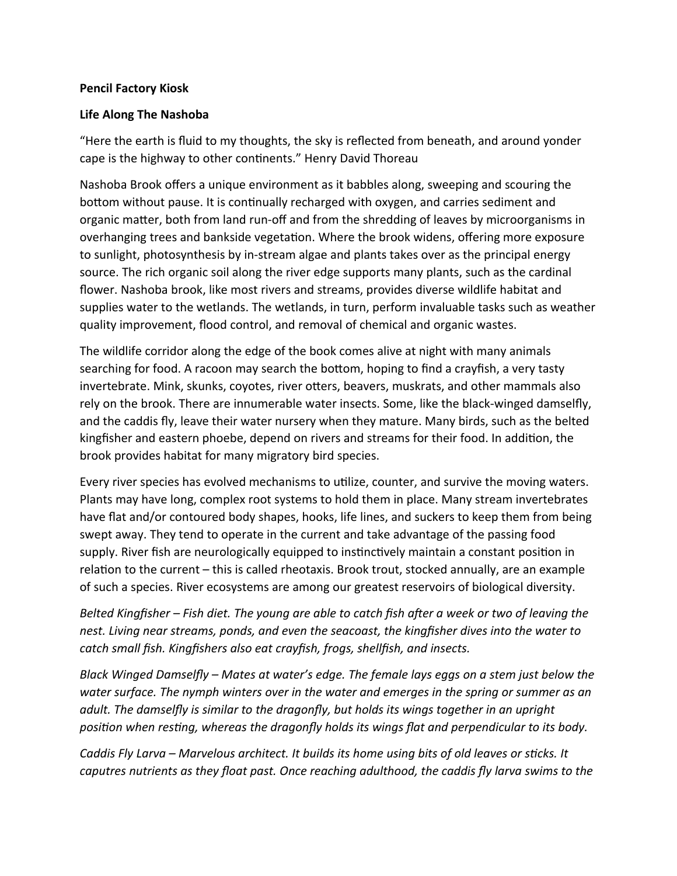## **Pencil Factory Kiosk**

## **Life Along The Nashoba**

"Here the earth is fluid to my thoughts, the sky is reflected from beneath, and around yonder cape is the highway to other continents." Henry David Thoreau

Nashoba Brook offers a unique environment as it babbles along, sweeping and scouring the bottom without pause. It is continually recharged with oxygen, and carries sediment and organic matter, both from land run-off and from the shredding of leaves by microorganisms in overhanging trees and bankside vegetation. Where the brook widens, offering more exposure to sunlight, photosynthesis by in-stream algae and plants takes over as the principal energy source. The rich organic soil along the river edge supports many plants, such as the cardinal flower. Nashoba brook, like most rivers and streams, provides diverse wildlife habitat and supplies water to the wetlands. The wetlands, in turn, perform invaluable tasks such as weather quality improvement, flood control, and removal of chemical and organic wastes.

The wildlife corridor along the edge of the book comes alive at night with many animals searching for food. A racoon may search the bottom, hoping to find a crayfish, a very tasty invertebrate. Mink, skunks, coyotes, river otters, beavers, muskrats, and other mammals also rely on the brook. There are innumerable water insects. Some, like the black-winged damselfly, and the caddis fly, leave their water nursery when they mature. Many birds, such as the belted kingfisher and eastern phoebe, depend on rivers and streams for their food. In addition, the brook provides habitat for many migratory bird species.

Every river species has evolved mechanisms to utilize, counter, and survive the moving waters. Plants may have long, complex root systems to hold them in place. Many stream invertebrates have flat and/or contoured body shapes, hooks, life lines, and suckers to keep them from being swept away. They tend to operate in the current and take advantage of the passing food supply. River fish are neurologically equipped to instinctively maintain a constant position in relation to the current – this is called rheotaxis. Brook trout, stocked annually, are an example of such a species. River ecosystems are among our greatest reservoirs of biological diversity.

*Belted Kingfisher – Fish diet. The young are able to catch fish after a week or two of leaving the nest. Living near streams, ponds, and even the seacoast, the kingfisher dives into the water to catch small fish. Kingfishers also eat crayfish, frogs, shellfish, and insects.* 

*Black Winged Damselfly – Mates at water's edge. The female lays eggs on a stem just below the water surface. The nymph winters over in the water and emerges in the spring or summer as an adult. The damselfly is similar to the dragonfly, but holds its wings together in an upright position when resting, whereas the dragonfly holds its wings flat and perpendicular to its body.*

*Caddis Fly Larva – Marvelous architect. It builds its home using bits of old leaves or sticks. It caputres nutrients as they float past. Once reaching adulthood, the caddis fly larva swims to the*